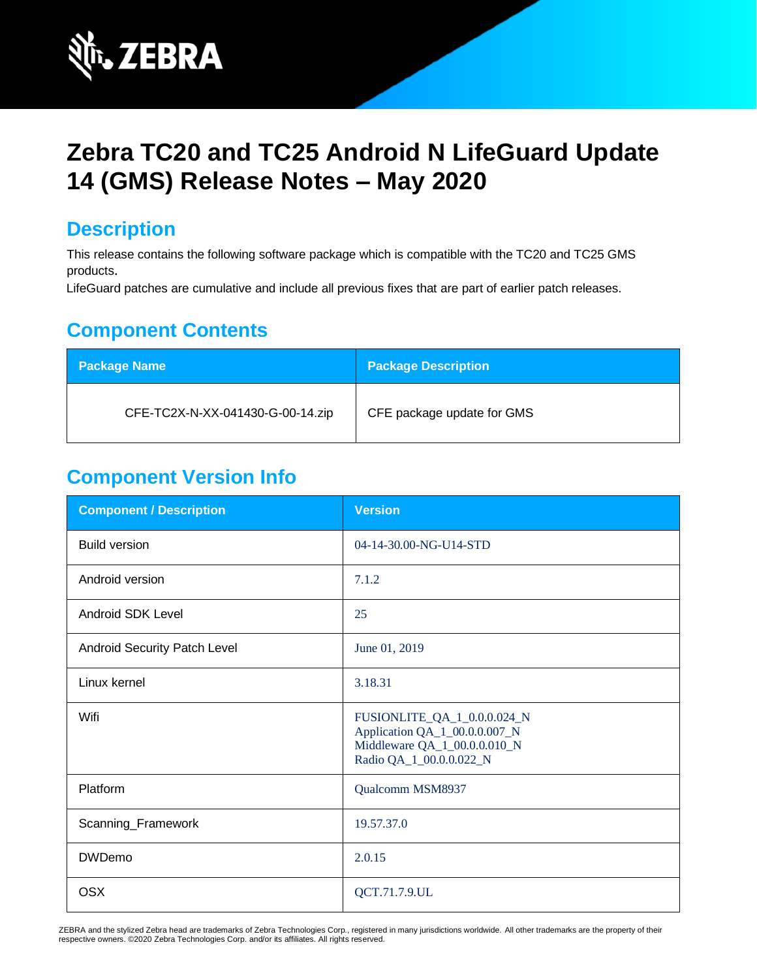

# **Zebra TC20 and TC25 Android N LifeGuard Update 14 (GMS) Release Notes – May 2020**

# **Description**

This release contains the following software package which is compatible with the TC20 and TC25 GMS products.

LifeGuard patches are cumulative and include all previous fixes that are part of earlier patch releases.

# **Component Contents**

| <b>Package Name</b>              | <b>Package Description</b> |
|----------------------------------|----------------------------|
| CFE-TC2X-N-XX-041430-G-00-14.zip | CFE package update for GMS |

## **Component Version Info**

| <b>Component / Description</b> | <b>Version</b>                                                                                                          |
|--------------------------------|-------------------------------------------------------------------------------------------------------------------------|
| <b>Build version</b>           | 04-14-30.00-NG-U14-STD                                                                                                  |
| Android version                | 7.1.2                                                                                                                   |
| <b>Android SDK Level</b>       | 25                                                                                                                      |
| Android Security Patch Level   | June 01, 2019                                                                                                           |
| Linux kernel                   | 3.18.31                                                                                                                 |
| Wifi                           | FUSIONLITE_QA_1_0.0.0.024_N<br>Application QA_1_00.0.0.007_N<br>Middleware QA_1_00.0.0.010_N<br>Radio QA_1_00.0.0.022_N |
| Platform                       | Qualcomm MSM8937                                                                                                        |
| Scanning_Framework             | 19.57.37.0                                                                                                              |
| <b>DWDemo</b>                  | 2.0.15                                                                                                                  |
| <b>OSX</b>                     | QCT.71.7.9.UL                                                                                                           |

ZEBRA and the stylized Zebra head are trademarks of Zebra Technologies Corp., registered in many jurisdictions worldwide. All other trademarks are the property of their respective owners. ©2020 Zebra Technologies Corp. and/or its affiliates. All rights reserved.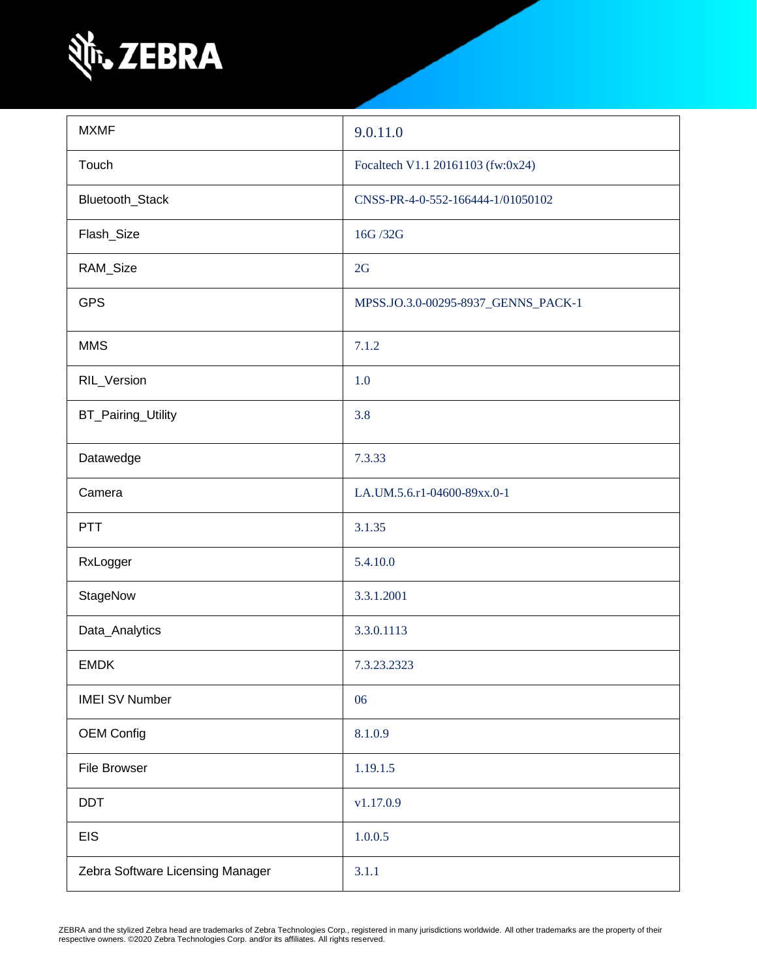

| <b>MXMF</b>                      | 9.0.11.0                            |
|----------------------------------|-------------------------------------|
| Touch                            | Focaltech V1.1 20161103 (fw:0x24)   |
| Bluetooth_Stack                  | CNSS-PR-4-0-552-166444-1/01050102   |
| Flash_Size                       | 16G /32G                            |
| RAM_Size                         | 2G                                  |
| <b>GPS</b>                       | MPSS.JO.3.0-00295-8937_GENNS_PACK-1 |
| <b>MMS</b>                       | 7.1.2                               |
| RIL_Version                      | 1.0                                 |
| BT_Pairing_Utility               | 3.8                                 |
| Datawedge                        | 7.3.33                              |
| Camera                           | LA.UM.5.6.r1-04600-89xx.0-1         |
| <b>PTT</b>                       | 3.1.35                              |
| RxLogger                         | 5.4.10.0                            |
| StageNow                         | 3.3.1.2001                          |
| Data_Analytics                   | 3.3.0.1113                          |
| <b>EMDK</b>                      | 7.3.23.2323                         |
| <b>IMEI SV Number</b>            | 06                                  |
| <b>OEM Config</b>                | 8.1.0.9                             |
| File Browser                     | 1.19.1.5                            |
| <b>DDT</b>                       | v1.17.0.9                           |
| <b>EIS</b>                       | 1.0.0.5                             |
| Zebra Software Licensing Manager | 3.1.1                               |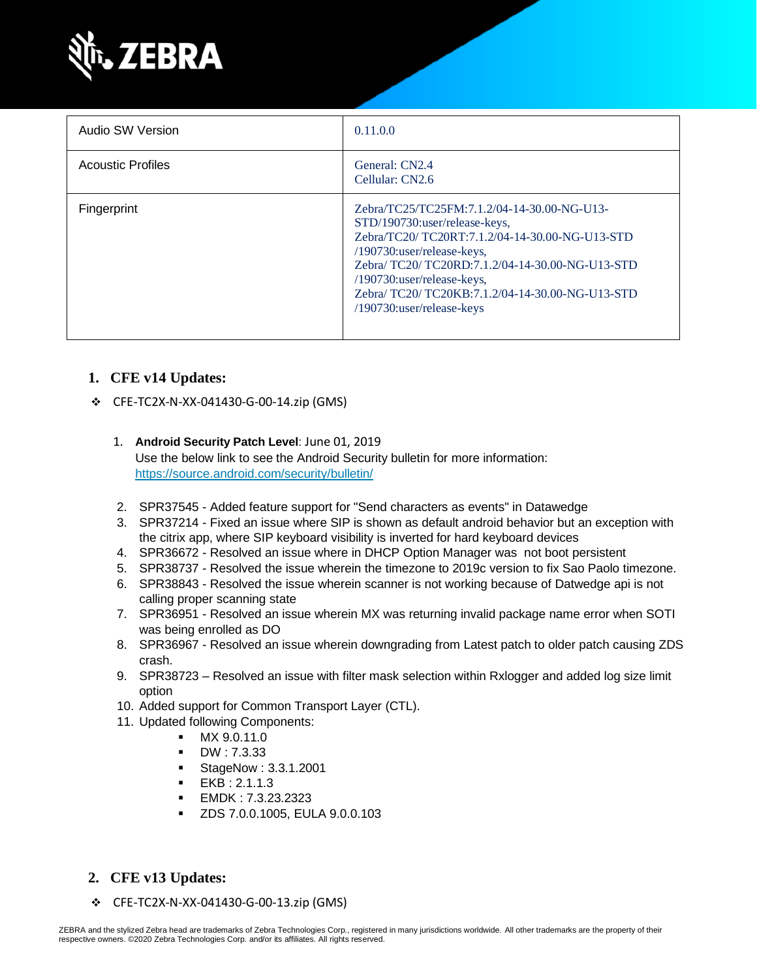

| Audio SW Version         | 0.11.0.0                                                                                                                                                                                                                                                                                                                       |
|--------------------------|--------------------------------------------------------------------------------------------------------------------------------------------------------------------------------------------------------------------------------------------------------------------------------------------------------------------------------|
| <b>Acoustic Profiles</b> | General: CN2.4<br>Cellular: CN2.6                                                                                                                                                                                                                                                                                              |
| Fingerprint              | Zebra/TC25/TC25FM:7.1.2/04-14-30.00-NG-U13-<br>STD/190730:user/release-keys,<br>Zebra/TC20/ TC20RT:7.1.2/04-14-30.00-NG-U13-STD<br>/190730:user/release-keys,<br>Zebra/ TC20/ TC20RD:7.1.2/04-14-30.00-NG-U13-STD<br>/190730:user/release-keys,<br>Zebra/TC20/TC20KB:7.1.2/04-14-30.00-NG-U13-STD<br>/190730:user/release-keys |

#### **1. CFE v14 Updates:**

❖ CFE-TC2X-N-XX-041430-G-00-14.zip (GMS)

#### 1. **Android Security Patch Level**: June 01, 2019

Use the below link to see the Android Security bulletin for more information: <https://source.android.com/security/bulletin/>

- 2. SPR37545 Added feature support for "Send characters as events" in Datawedge
- 3. SPR37214 Fixed an issue where SIP is shown as default android behavior but an exception with the citrix app, where SIP keyboard visibility is inverted for hard keyboard devices
- 4. SPR36672 Resolved an issue where in DHCP Option Manager was not boot persistent
- 5. SPR38737 Resolved the issue wherein the timezone to 2019c version to fix Sao Paolo timezone.
- 6. SPR38843 Resolved the issue wherein scanner is not working because of Datwedge api is not calling proper scanning state
- 7. SPR36951 Resolved an issue wherein MX was returning invalid package name error when SOTI was being enrolled as DO
- 8. SPR36967 Resolved an issue wherein downgrading from Latest patch to older patch causing ZDS crash.
- 9. SPR38723 Resolved an issue with filter mask selection within Rxlogger and added log size limit option
- 10. Added support for Common Transport Layer (CTL).
- 11. Updated following Components:
	- MX 9.0.11.0
	- DW : 7.3.33
	- StageNow : 3.3.1.2001
	- $EKB : 2.1.1.3$
	- EMDK : 7.3.23.2323
	- ZDS 7.0.0.1005, EULA 9.0.0.103
- **2. CFE v13 Updates:**
- ❖ CFE-TC2X-N-XX-041430-G-00-13.zip (GMS)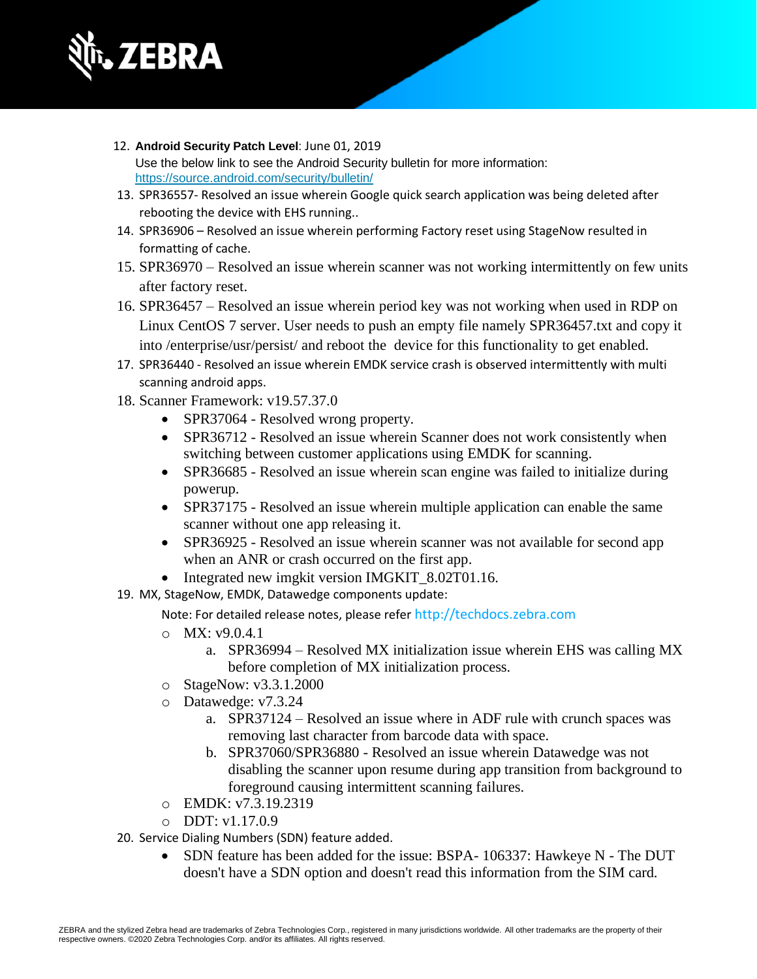

- 12. **Android Security Patch Level**: June 01, 2019 Use the below link to see the Android Security bulletin for more information: <https://source.android.com/security/bulletin/>
- 13. SPR36557- Resolved an issue wherein Google quick search application was being deleted after rebooting the device with EHS running..
- 14. SPR36906 Resolved an issue wherein performing Factory reset using StageNow resulted in formatting of cache.
- 15. SPR36970 Resolved an issue wherein scanner was not working intermittently on few units after factory reset.
- 16. SPR36457 Resolved an issue wherein period key was not working when used in RDP on Linux CentOS 7 server. User needs to push an empty file namely SPR36457.txt and copy it into /enterprise/usr/persist/ and reboot the device for this functionality to get enabled.
- 17. SPR36440 Resolved an issue wherein EMDK service crash is observed intermittently with multi scanning android apps.
- 18. Scanner Framework: v19.57.37.0
	- SPR37064 Resolved wrong property.
	- SPR36712 Resolved an issue wherein Scanner does not work consistently when switching between customer applications using EMDK for scanning.
	- SPR36685 Resolved an issue wherein scan engine was failed to initialize during powerup.
	- SPR37175 Resolved an issue wherein multiple application can enable the same scanner without one app releasing it.
	- SPR36925 Resolved an issue wherein scanner was not available for second app when an ANR or crash occurred on the first app.
	- Integrated new imgkit version IMGKIT 8.02T01.16.
- 19. MX, StageNow, EMDK, Datawedge components update:

Note: For detailed release notes, please refer [http://techdocs.zebra.com](http://techdocs.zebra.com/)

- o MX: v9.0.4.1
	- a. SPR36994 Resolved MX initialization issue wherein EHS was calling MX before completion of MX initialization process.
- o StageNow: v3.3.1.2000
- o Datawedge: v7.3.24
	- a. SPR37124 Resolved an issue where in ADF rule with crunch spaces was removing last character from barcode data with space.
	- b. SPR37060/SPR36880 Resolved an issue wherein Datawedge was not disabling the scanner upon resume during app transition from background to foreground causing intermittent scanning failures.
- o EMDK: v7.3.19.2319
- o DDT: v1.17.0.9
- 20. Service Dialing Numbers (SDN) feature added.
	- SDN feature has been added for the issue: BSPA- 106337: Hawkeye N The DUT doesn't have a SDN option and doesn't read this information from the SIM card.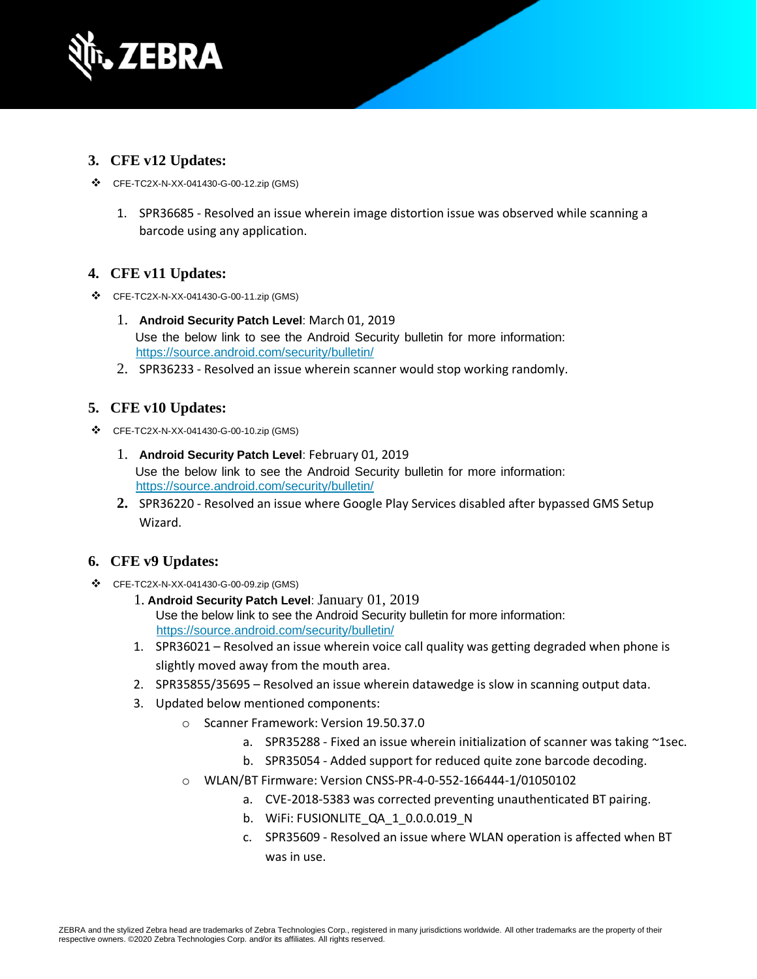

#### **3. CFE v12 Updates:**

- ❖ CFE-TC2X-N-XX-041430-G-00-12.zip (GMS)
	- 1. SPR36685 Resolved an issue wherein image distortion issue was observed while scanning a barcode using any application.

#### **4. CFE v11 Updates:**

- ❖ CFE-TC2X-N-XX-041430-G-00-11.zip (GMS)
	- 1. **Android Security Patch Level**: March 01, 2019 Use the below link to see the Android Security bulletin for more information: <https://source.android.com/security/bulletin/>
	- 2. SPR36233 Resolved an issue wherein scanner would stop working randomly.

#### **5. CFE v10 Updates:**

- ❖ CFE-TC2X-N-XX-041430-G-00-10.zip (GMS)
	- 1. **Android Security Patch Level**: February 01, 2019 Use the below link to see the Android Security bulletin for more information: <https://source.android.com/security/bulletin/>
	- **2.** SPR36220 Resolved an issue where Google Play Services disabled after bypassed GMS Setup Wizard.

#### **6. CFE v9 Updates:**

- ❖ CFE-TC2X-N-XX-041430-G-00-09.zip (GMS)
	- 1. **Android Security Patch Level**: January 01, 2019 Use the below link to see the Android Security bulletin for more information: <https://source.android.com/security/bulletin/>
	- 1. SPR36021 Resolved an issue wherein voice call quality was getting degraded when phone is slightly moved away from the mouth area.
	- 2. SPR35855/35695 Resolved an issue wherein datawedge is slow in scanning output data.
	- 3. Updated below mentioned components:
		- o Scanner Framework: Version 19.50.37.0
			- a. SPR35288 Fixed an issue wherein initialization of scanner was taking ~1sec.
			- b. SPR35054 Added support for reduced quite zone barcode decoding.
		- o WLAN/BT Firmware: Version CNSS-PR-4-0-552-166444-1/01050102
			- a. CVE-2018-5383 was corrected preventing unauthenticated BT pairing.
			- b. WiFi: FUSIONLITE\_QA\_1\_0.0.0.019\_N
			- c. SPR35609 Resolved an issue where WLAN operation is affected when BT was in use.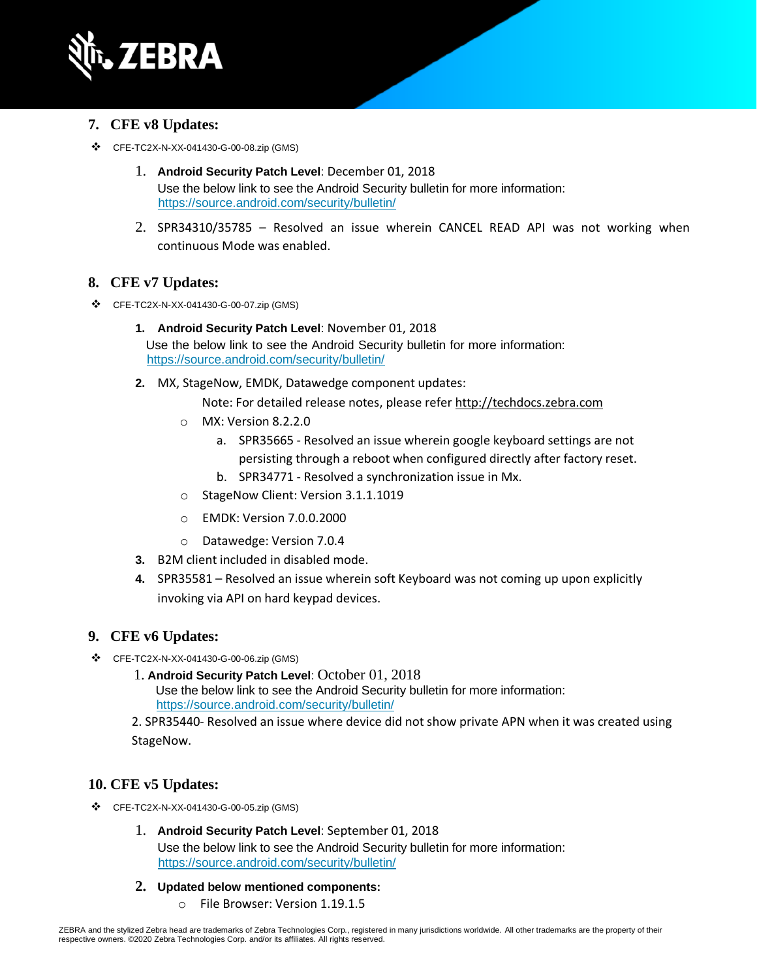

#### **7. CFE v8 Updates:**

- ❖ CFE-TC2X-N-XX-041430-G-00-08.zip (GMS)
	- 1. **Android Security Patch Level**: December 01, 2018 Use the below link to see the Android Security bulletin for more information: <https://source.android.com/security/bulletin/>
	- 2. SPR34310/35785 Resolved an issue wherein CANCEL READ API was not working when continuous Mode was enabled.

#### **8. CFE v7 Updates:**

- ❖ CFE-TC2X-N-XX-041430-G-00-07.zip (GMS)
	- **1. Android Security Patch Level**: November 01, 2018 Use the below link to see the Android Security bulletin for more information: <https://source.android.com/security/bulletin/>
	- **2.** MX, StageNow, EMDK, Datawedge component updates:
		- Note: For detailed release notes, please refer [http://techdocs.zebra.com](http://techdocs.zebra.com/)
		- o MX: Version 8.2.2.0
			- a. SPR35665 Resolved an issue wherein google keyboard settings are not persisting through a reboot when configured directly after factory reset.
			- b. SPR34771 Resolved a synchronization issue in Mx.
		- o StageNow Client: Version 3.1.1.1019
		- o EMDK: Version 7.0.0.2000
		- o Datawedge: Version 7.0.4
	- **3.** B2M client included in disabled mode.
	- **4.** SPR35581 Resolved an issue wherein soft Keyboard was not coming up upon explicitly invoking via API on hard keypad devices.

#### **9. CFE v6 Updates:**

- ❖ CFE-TC2X-N-XX-041430-G-00-06.zip (GMS)
	- 1. **Android Security Patch Level**: October 01, 2018 Use the below link to see the Android Security bulletin for more information: <https://source.android.com/security/bulletin/>
	- 2. SPR35440- Resolved an issue where device did not show private APN when it was created using StageNow.

#### **10. CFE v5 Updates:**

- ❖ CFE-TC2X-N-XX-041430-G-00-05.zip (GMS)
	- 1. **Android Security Patch Level**: September 01, 2018 Use the below link to see the Android Security bulletin for more information: <https://source.android.com/security/bulletin/>
	- **2. Updated below mentioned components:**
		- o File Browser: Version 1.19.1.5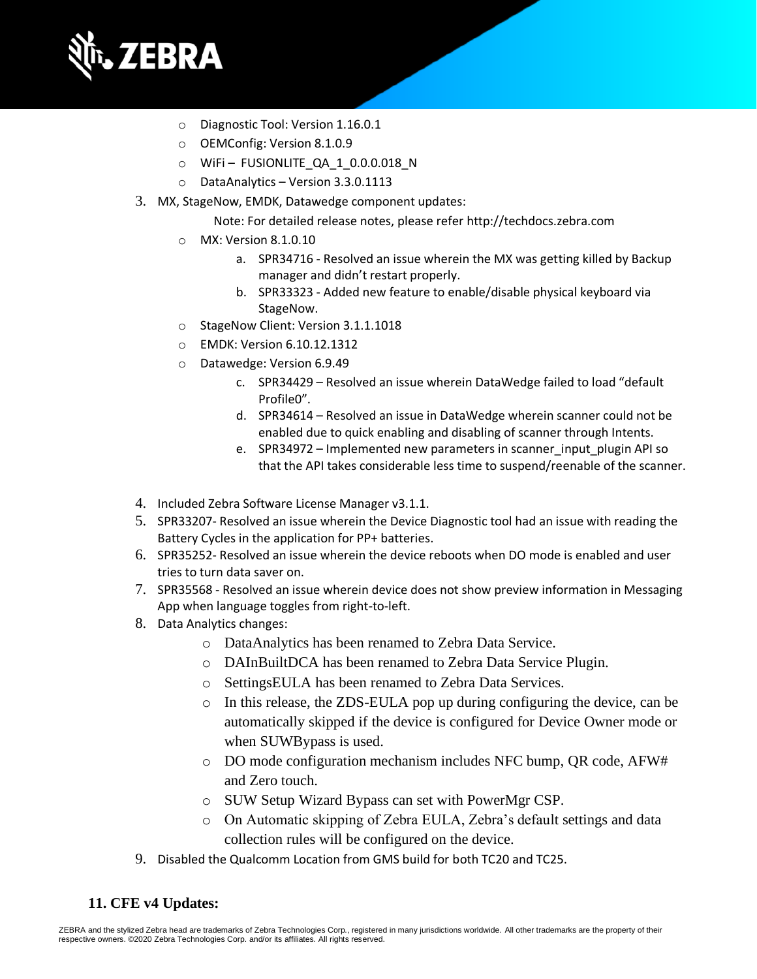

- o Diagnostic Tool: Version 1.16.0.1
- o OEMConfig: Version 8.1.0.9
- o WiFi FUSIONLITE\_QA\_1\_0.0.0.018\_N
- o DataAnalytics Version 3.3.0.1113
- 3. MX, StageNow, EMDK, Datawedge component updates:
	- Note: For detailed release notes, please refe[r http://techdocs.zebra.com](http://techdocs.zebra.com/)
	- o MX: Version 8.1.0.10
		- a. SPR34716 Resolved an issue wherein the MX was getting killed by Backup manager and didn't restart properly.
		- b. SPR33323 Added new feature to enable/disable physical keyboard via StageNow.
	- o StageNow Client: Version 3.1.1.1018
	- o EMDK: Version 6.10.12.1312
	- o Datawedge: Version 6.9.49
		- c. SPR34429 Resolved an issue wherein DataWedge failed to load "default Profile0".
		- d. SPR34614 Resolved an issue in DataWedge wherein scanner could not be enabled due to quick enabling and disabling of scanner through Intents.
		- e. SPR34972 Implemented new parameters in scanner\_input\_plugin API so that the API takes considerable less time to suspend/reenable of the scanner.
- 4. Included Zebra Software License Manager v3.1.1.
- 5. SPR33207- Resolved an issue wherein the Device Diagnostic tool had an issue with reading the Battery Cycles in the application for PP+ batteries.
- 6. SPR35252- Resolved an issue wherein the device reboots when DO mode is enabled and user tries to turn data saver on.
- 7. SPR35568 Resolved an issue wherein device does not show preview information in Messaging App when language toggles from right-to-left.
- 8. Data Analytics changes:
	- o DataAnalytics has been renamed to Zebra Data Service.
	- o DAInBuiltDCA has been renamed to Zebra Data Service Plugin.
	- o SettingsEULA has been renamed to Zebra Data Services.
	- $\circ$  In this release, the ZDS-EULA pop up during configuring the device, can be automatically skipped if the device is configured for Device Owner mode or when SUWBypass is used.
	- o DO mode configuration mechanism includes NFC bump, QR code, AFW# and Zero touch.
	- o SUW Setup Wizard Bypass can set with PowerMgr CSP.
	- o On Automatic skipping of Zebra EULA, Zebra's default settings and data collection rules will be configured on the device.
- 9. Disabled the Qualcomm Location from GMS build for both TC20 and TC25.

#### **11. CFE v4 Updates:**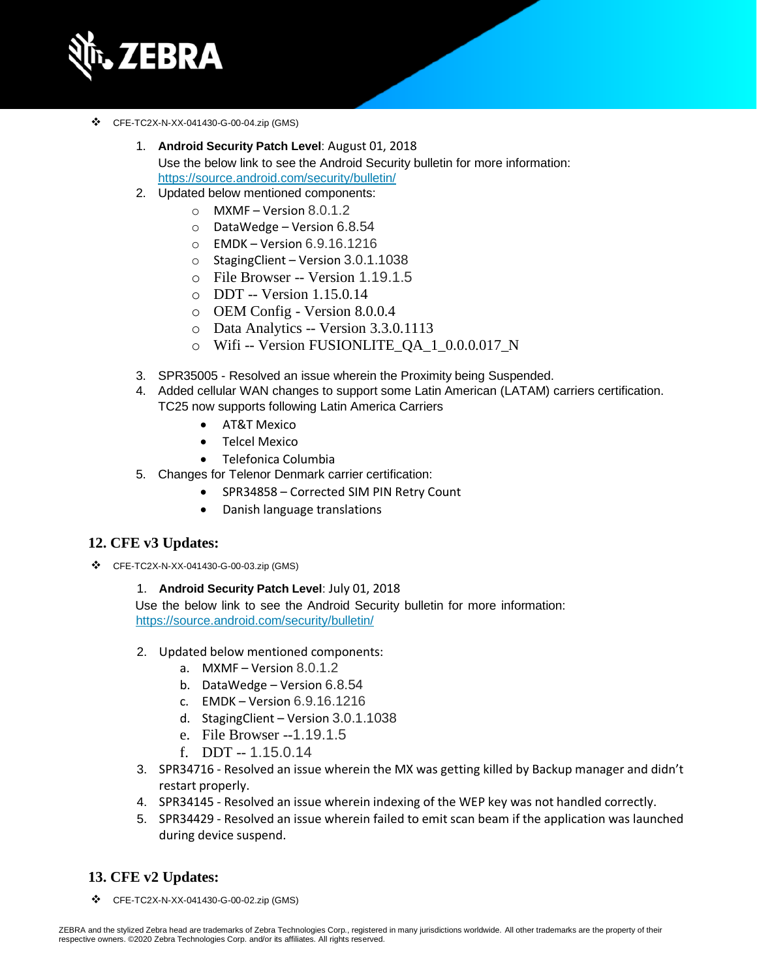

- ❖ CFE-TC2X-N-XX-041430-G-00-04.zip (GMS)
	- 1. **Android Security Patch Level**: August 01, 2018 Use the below link to see the Android Security bulletin for more information: <https://source.android.com/security/bulletin/>
	- 2. Updated below mentioned components:
		- $\circ$  MXMF Version 8.0.1.2
		- o DataWedge Version 6.8.54
		- o EMDK Version 6.9.16.1216
		- o StagingClient Version 3.0.1.1038
		- o File Browser -- Version 1.19.1.5
		- o DDT -- Version 1.15.0.14
		- o OEM Config Version 8.0.0.4
		- o Data Analytics -- Version 3.3.0.1113
		- o Wifi -- Version FUSIONLITE\_QA\_1\_0.0.0.017\_N
	- 3. SPR35005 Resolved an issue wherein the Proximity being Suspended.
	- 4. Added cellular WAN changes to support some Latin American (LATAM) carriers certification. TC25 now supports following Latin America Carriers
		- AT&T Mexico
		- Telcel Mexico
		- Telefonica Columbia
	- 5. Changes for Telenor Denmark carrier certification:
		- SPR34858 Corrected SIM PIN Retry Count
		- Danish language translations

#### **12. CFE v3 Updates:**

- ❖ CFE-TC2X-N-XX-041430-G-00-03.zip (GMS)
	- 1. **Android Security Patch Level**: July 01, 2018

Use the below link to see the Android Security bulletin for more information: <https://source.android.com/security/bulletin/>

- 2. Updated below mentioned components:
	- a. MXMF Version 8.0.1.2
	- b. DataWedge Version 6.8.54
	- c. EMDK Version 6.9.16.1216
	- d. StagingClient Version 3.0.1.1038
	- e. File Browser --1.19.1.5
	- f. DDT -- 1.15.0.14
- 3. SPR34716 Resolved an issue wherein the MX was getting killed by Backup manager and didn't restart properly.
- 4. SPR34145 Resolved an issue wherein indexing of the WEP key was not handled correctly.
- 5. SPR34429 Resolved an issue wherein failed to emit scan beam if the application was launched during device suspend.

#### **13. CFE v2 Updates:**

❖ CFE-TC2X-N-XX-041430-G-00-02.zip (GMS)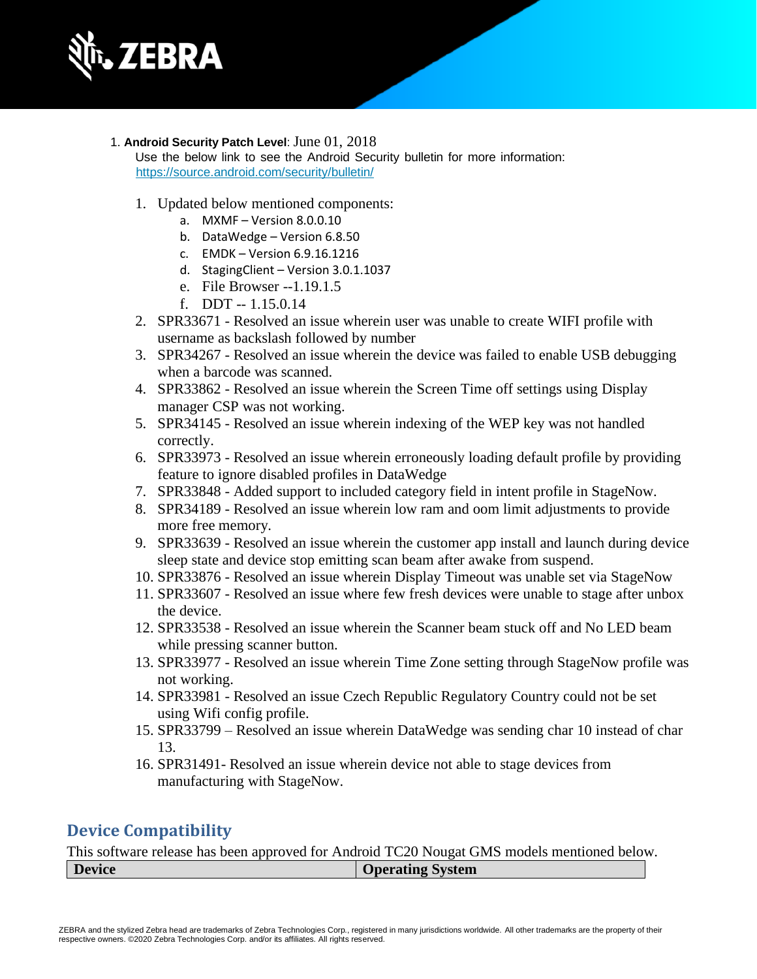

1. **Android Security Patch Level**: June 01, 2018

Use the below link to see the Android Security bulletin for more information: <https://source.android.com/security/bulletin/>

- 1. Updated below mentioned components:
	- a. MXMF Version 8.0.0.10
	- b. DataWedge Version 6.8.50
	- c. EMDK Version 6.9.16.1216
	- d. StagingClient Version 3.0.1.1037
	- e. File Browser --1.19.1.5
	- f. DDT  $-1.15.0.14$
- 2. SPR33671 Resolved an issue wherein user was unable to create WIFI profile with username as backslash followed by number
- 3. SPR34267 Resolved an issue wherein the device was failed to enable USB debugging when a barcode was scanned.
- 4. SPR33862 Resolved an issue wherein the Screen Time off settings using Display manager CSP was not working.
- 5. SPR34145 Resolved an issue wherein indexing of the WEP key was not handled correctly.
- 6. SPR33973 Resolved an issue wherein erroneously loading default profile by providing feature to ignore disabled profiles in DataWedge
- 7. SPR33848 Added support to included category field in intent profile in StageNow.
- 8. SPR34189 Resolved an issue wherein low ram and oom limit adjustments to provide more free memory.
- 9. SPR33639 Resolved an issue wherein the customer app install and launch during device sleep state and device stop emitting scan beam after awake from suspend.
- 10. SPR33876 Resolved an issue wherein Display Timeout was unable set via StageNow
- 11. SPR33607 Resolved an issue where few fresh devices were unable to stage after unbox the device.
- 12. SPR33538 Resolved an issue wherein the Scanner beam stuck off and No LED beam while pressing scanner button.
- 13. SPR33977 Resolved an issue wherein Time Zone setting through StageNow profile was not working.
- 14. SPR33981 Resolved an issue Czech Republic Regulatory Country could not be set using Wifi config profile.
- 15. SPR33799 Resolved an issue wherein DataWedge was sending char 10 instead of char 13.
- 16. SPR31491- Resolved an issue wherein device not able to stage devices from manufacturing with StageNow.

### **Device Compatibility**

This software release has been approved for Android TC20 Nougat GMS models mentioned below. **Device Operating System**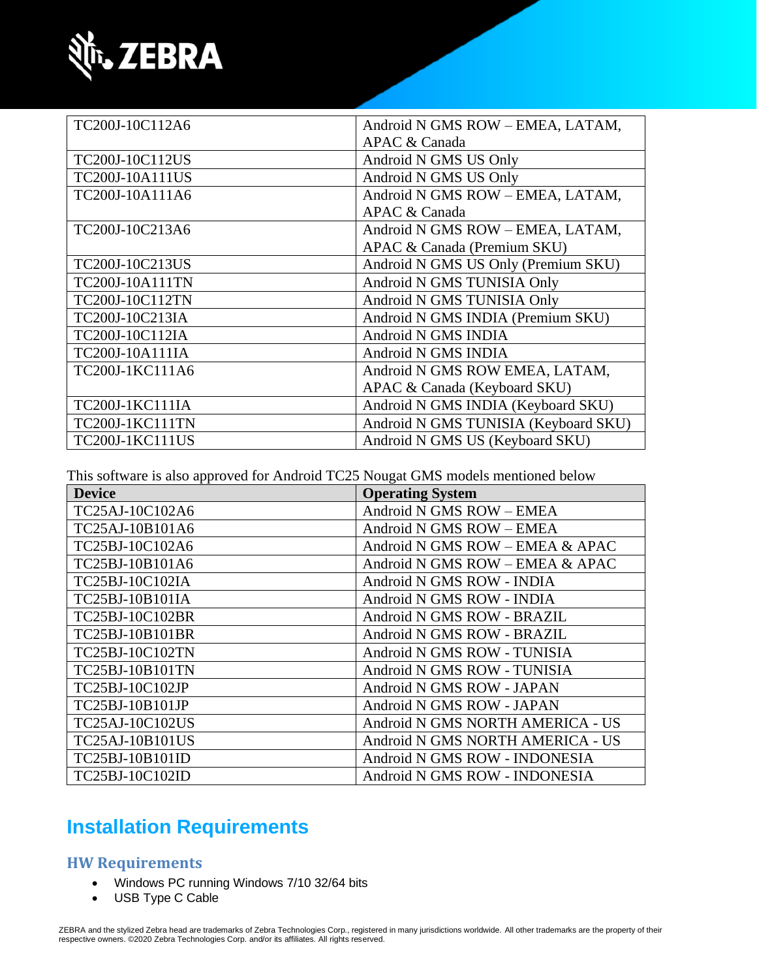

| TC200J-10C112A6        | Android N GMS ROW - EMEA, LATAM,     |
|------------------------|--------------------------------------|
|                        | APAC & Canada                        |
| TC200J-10C112US        | Android N GMS US Only                |
| <b>TC200J-10A111US</b> | Android N GMS US Only                |
| TC200J-10A111A6        | Android N GMS ROW - EMEA, LATAM,     |
|                        | APAC & Canada                        |
| TC200J-10C213A6        | Android N GMS ROW - EMEA, LATAM,     |
|                        | APAC & Canada (Premium SKU)          |
| TC200J-10C213US        | Android N GMS US Only (Premium SKU)  |
| <b>TC200J-10A111TN</b> | Android N GMS TUNISIA Only           |
| TC200J-10C112TN        | Android N GMS TUNISIA Only           |
| TC200J-10C213IA        | Android N GMS INDIA (Premium SKU)    |
| TC200J-10C112IA        | Android N GMS INDIA                  |
| TC200J-10A111IA        | Android N GMS INDIA                  |
| TC200J-1KC111A6        | Android N GMS ROW EMEA, LATAM,       |
|                        | APAC & Canada (Keyboard SKU)         |
| TC200J-1KC111IA        | Android N GMS INDIA (Keyboard SKU)   |
| TC200J-1KC111TN        | Android N GMS TUNISIA (Keyboard SKU) |
| <b>TC200J-1KC111US</b> | Android N GMS US (Keyboard SKU)      |

This software is also approved for Android TC25 Nougat GMS models mentioned below

| <b>Device</b>          | <b>Operating System</b>          |
|------------------------|----------------------------------|
| TC25AJ-10C102A6        | Android N GMS ROW - EMEA         |
| TC25AJ-10B101A6        | Android N GMS ROW - EMEA         |
| TC25BJ-10C102A6        | Android N GMS ROW - EMEA & APAC  |
| TC25BJ-10B101A6        | Android N GMS ROW - EMEA & APAC  |
| TC25BJ-10C102IA        | Android N GMS ROW - INDIA        |
| TC25BJ-10B101IA        | Android N GMS ROW - INDIA        |
| TC25BJ-10C102BR        | Android N GMS ROW - BRAZIL       |
| TC25BJ-10B101BR        | Android N GMS ROW - BRAZIL       |
| TC25BJ-10C102TN        | Android N GMS ROW - TUNISIA      |
| TC25BJ-10B101TN        | Android N GMS ROW - TUNISIA      |
| TC25BJ-10C102JP        | Android N GMS ROW - JAPAN        |
| TC25BJ-10B101JP        | Android N GMS ROW - JAPAN        |
| TC25AJ-10C102US        | Android N GMS NORTH AMERICA - US |
| <b>TC25AJ-10B101US</b> | Android N GMS NORTH AMERICA - US |
| TC25BJ-10B101ID        | Android N GMS ROW - INDONESIA    |
| TC25BJ-10C102ID        | Android N GMS ROW - INDONESIA    |

# **Installation Requirements**

### **HW Requirements**

- Windows PC running Windows 7/10 32/64 bits
- USB Type C Cable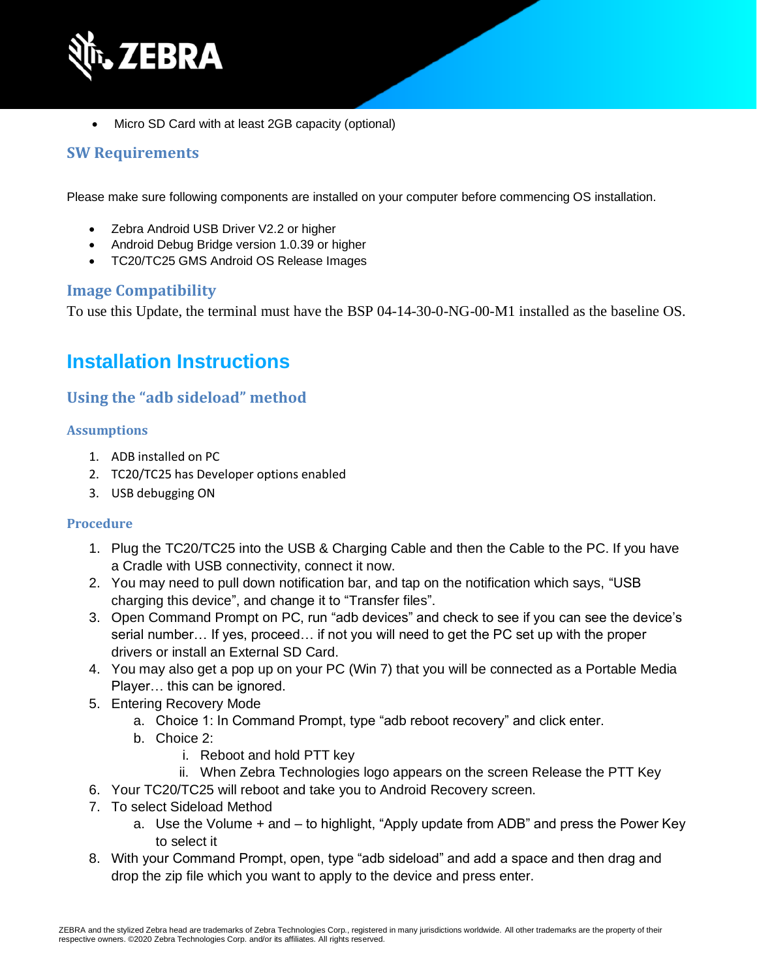

• Micro SD Card with at least 2GB capacity (optional)

### **SW Requirements**

Please make sure following components are installed on your computer before commencing OS installation.

- Zebra Android USB Driver V2.2 or higher
- Android Debug Bridge version 1.0.39 or higher
- TC20/TC25 GMS Android OS Release Images

#### **Image Compatibility**

To use this Update, the terminal must have the BSP 04-14-30-0-NG-00-M1 installed as the baseline OS.

### **Installation Instructions**

### **Using the "adb sideload" method**

#### **Assumptions**

- 1. ADB installed on PC
- 2. TC20/TC25 has Developer options enabled
- 3. USB debugging ON

#### **Procedure**

- 1. Plug the TC20/TC25 into the USB & Charging Cable and then the Cable to the PC. If you have a Cradle with USB connectivity, connect it now.
- 2. You may need to pull down notification bar, and tap on the notification which says, "USB charging this device", and change it to "Transfer files".
- 3. Open Command Prompt on PC, run "adb devices" and check to see if you can see the device's serial number… If yes, proceed… if not you will need to get the PC set up with the proper drivers or install an External SD Card.
- 4. You may also get a pop up on your PC (Win 7) that you will be connected as a Portable Media Player… this can be ignored.
- 5. Entering Recovery Mode
	- a. Choice 1: In Command Prompt, type "adb reboot recovery" and click enter.
	- b. Choice 2:
		- i. Reboot and hold PTT key
- ii. When Zebra Technologies logo appears on the screen Release the PTT Key
- 6. Your TC20/TC25 will reboot and take you to Android Recovery screen.
- 7. To select Sideload Method
	- a. Use the Volume + and to highlight, "Apply update from ADB" and press the Power Key to select it
- 8. With your Command Prompt, open, type "adb sideload" and add a space and then drag and drop the zip file which you want to apply to the device and press enter.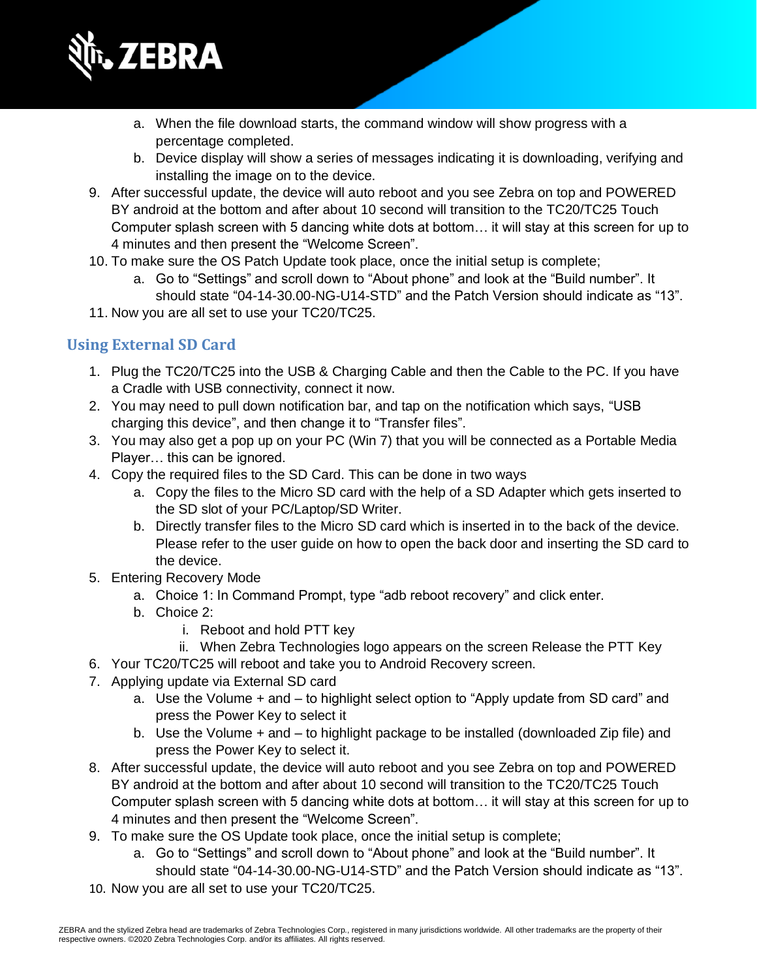

- a. When the file download starts, the command window will show progress with a percentage completed.
- b. Device display will show a series of messages indicating it is downloading, verifying and installing the image on to the device.
- 9. After successful update, the device will auto reboot and you see Zebra on top and POWERED BY android at the bottom and after about 10 second will transition to the TC20/TC25 Touch Computer splash screen with 5 dancing white dots at bottom… it will stay at this screen for up to 4 minutes and then present the "Welcome Screen".
- 10. To make sure the OS Patch Update took place, once the initial setup is complete;
	- a. Go to "Settings" and scroll down to "About phone" and look at the "Build number". It should state "04-14-30.00-NG-U14-STD" and the Patch Version should indicate as "13".
- 11. Now you are all set to use your TC20/TC25.

### **Using External SD Card**

- 1. Plug the TC20/TC25 into the USB & Charging Cable and then the Cable to the PC. If you have a Cradle with USB connectivity, connect it now.
- 2. You may need to pull down notification bar, and tap on the notification which says, "USB charging this device", and then change it to "Transfer files".
- 3. You may also get a pop up on your PC (Win 7) that you will be connected as a Portable Media Player… this can be ignored.
- 4. Copy the required files to the SD Card. This can be done in two ways
	- a. Copy the files to the Micro SD card with the help of a SD Adapter which gets inserted to the SD slot of your PC/Laptop/SD Writer.
	- b. Directly transfer files to the Micro SD card which is inserted in to the back of the device. Please refer to the user guide on how to open the back door and inserting the SD card to the device.
- 5. Entering Recovery Mode
	- a. Choice 1: In Command Prompt, type "adb reboot recovery" and click enter.
	- b. Choice 2:
		- i. Reboot and hold PTT key
		- ii. When Zebra Technologies logo appears on the screen Release the PTT Key
- 6. Your TC20/TC25 will reboot and take you to Android Recovery screen.
- 7. Applying update via External SD card
	- a. Use the Volume + and to highlight select option to "Apply update from SD card" and press the Power Key to select it
	- b. Use the Volume + and to highlight package to be installed (downloaded Zip file) and press the Power Key to select it.
- 8. After successful update, the device will auto reboot and you see Zebra on top and POWERED BY android at the bottom and after about 10 second will transition to the TC20/TC25 Touch Computer splash screen with 5 dancing white dots at bottom… it will stay at this screen for up to 4 minutes and then present the "Welcome Screen".
- 9. To make sure the OS Update took place, once the initial setup is complete;
	- a. Go to "Settings" and scroll down to "About phone" and look at the "Build number". It should state "04-14-30.00-NG-U14-STD" and the Patch Version should indicate as "13".
- 10. Now you are all set to use your TC20/TC25.